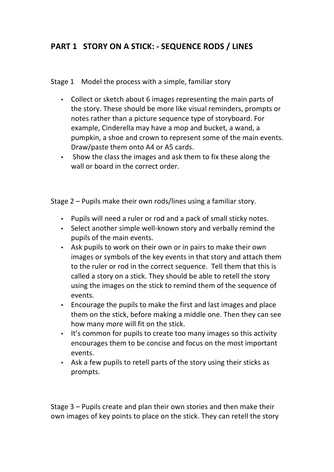# **PART 1 STORY ON A STICK: - SEQUENCE RODS / LINES**

#### Stage 1 Model the process with a simple, familiar story

- Collect or sketch about 6 images representing the main parts of the story. These should be more like visual reminders, prompts or notes rather than a picture sequence type of storyboard. For example, Cinderella may have a mop and bucket, a wand, a pumpkin, a shoe and crown to represent some of the main events. Draw/paste them onto A4 or A5 cards.
- Show the class the images and ask them to fix these along the wall or board in the correct order.

Stage  $2$  – Pupils make their own rods/lines using a familiar story.

- Pupils will need a ruler or rod and a pack of small sticky notes.
- Select another simple well-known story and verbally remind the pupils of the main events.
- Ask pupils to work on their own or in pairs to make their own images or symbols of the key events in that story and attach them to the ruler or rod in the correct sequence. Tell them that this is called a story on a stick. They should be able to retell the story using the images on the stick to remind them of the sequence of events.
- Encourage the pupils to make the first and last images and place them on the stick, before making a middle one. Then they can see how many more will fit on the stick.
- It's common for pupils to create too many images so this activity encourages them to be concise and focus on the most important events.
- Ask a few pupils to retell parts of the story using their sticks as prompts.

Stage  $3$  – Pupils create and plan their own stories and then make their own images of key points to place on the stick. They can retell the story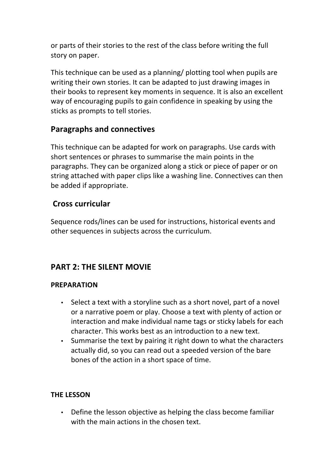or parts of their stories to the rest of the class before writing the full story on paper.

This technique can be used as a planning/ plotting tool when pupils are writing their own stories. It can be adapted to just drawing images in their books to represent key moments in sequence. It is also an excellent way of encouraging pupils to gain confidence in speaking by using the sticks as prompts to tell stories.

## **Paragraphs and connectives**

This technique can be adapted for work on paragraphs. Use cards with short sentences or phrases to summarise the main points in the paragraphs. They can be organized along a stick or piece of paper or on string attached with paper clips like a washing line. Connectives can then be added if appropriate.

## **Cross curricular**

Sequence rods/lines can be used for instructions, historical events and other sequences in subjects across the curriculum.

# **PART 2: THE SILENT MOVIE**

### **PREPARATION**

- Select a text with a storyline such as a short novel, part of a novel or a narrative poem or play. Choose a text with plenty of action or interaction and make individual name tags or sticky labels for each character. This works best as an introduction to a new text.
- Summarise the text by pairing it right down to what the characters actually did, so you can read out a speeded version of the bare bones of the action in a short space of time.

### **THE LESSON**

• Define the lesson objective as helping the class become familiar with the main actions in the chosen text.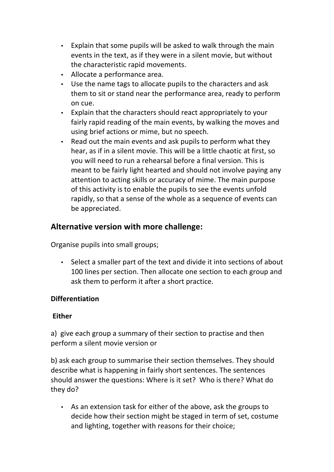- Explain that some pupils will be asked to walk through the main events in the text, as if they were in a silent movie, but without the characteristic rapid movements.
- Allocate a performance area.
- Use the name tags to allocate pupils to the characters and ask them to sit or stand near the performance area, ready to perform on cue.
- Explain that the characters should react appropriately to your fairly rapid reading of the main events, by walking the moves and using brief actions or mime, but no speech.
- Read out the main events and ask pupils to perform what they hear, as if in a silent movie. This will be a little chaotic at first, so you will need to run a rehearsal before a final version. This is meant to be fairly light hearted and should not involve paying any attention to acting skills or accuracy of mime. The main purpose of this activity is to enable the pupils to see the events unfold rapidly, so that a sense of the whole as a sequence of events can be appreciated.

## **Alternative version with more challenge:**

Organise pupils into small groups;

• Select a smaller part of the text and divide it into sections of about 100 lines per section. Then allocate one section to each group and ask them to perform it after a short practice.

### **Differentiation**

#### **Either**

a) give each group a summary of their section to practise and then perform a silent movie version or

b) ask each group to summarise their section themselves. They should describe what is happening in fairly short sentences. The sentences should answer the questions: Where is it set? Who is there? What do they do?

• As an extension task for either of the above, ask the groups to decide how their section might be staged in term of set, costume and lighting, together with reasons for their choice: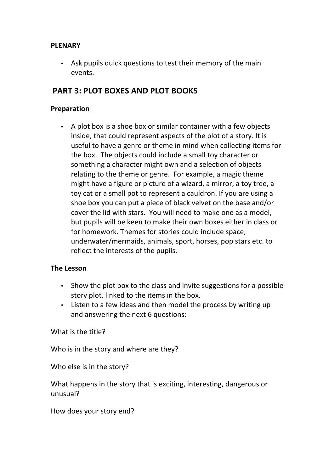#### **PLENARY**

• Ask pupils quick questions to test their memory of the main events.

### **PART 3: PLOT BOXES AND PLOT BOOKS**

#### **Preparation**

• A plot box is a shoe box or similar container with a few objects inside, that could represent aspects of the plot of a story. It is useful to have a genre or theme in mind when collecting items for the box. The objects could include a small toy character or something a character might own and a selection of objects relating to the theme or genre. For example, a magic theme might have a figure or picture of a wizard, a mirror, a toy tree, a toy cat or a small pot to represent a cauldron. If you are using a shoe box you can put a piece of black velvet on the base and/or cover the lid with stars. You will need to make one as a model. but pupils will be keen to make their own boxes either in class or for homework. Themes for stories could include space, underwater/mermaids, animals, sport, horses, pop stars etc. to reflect the interests of the pupils.

#### **The Lesson**

- Show the plot box to the class and invite suggestions for a possible story plot, linked to the items in the box.
- Listen to a few ideas and then model the process by writing up and answering the next 6 questions:

What is the title?

Who is in the story and where are they?

Who else is in the story?

What happens in the story that is exciting, interesting, dangerous or unusual?

How does your story end?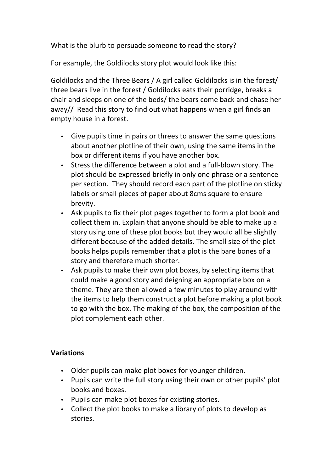What is the blurb to persuade someone to read the story?

For example, the Goldilocks story plot would look like this:

Goldilocks and the Three Bears / A girl called Goldilocks is in the forest/ three bears live in the forest / Goldilocks eats their porridge, breaks a chair and sleeps on one of the beds/ the bears come back and chase her away// Read this story to find out what happens when a girl finds an empty house in a forest.

- Give pupils time in pairs or threes to answer the same questions about another plotline of their own, using the same items in the box or different items if you have another box.
- Stress the difference between a plot and a full-blown story. The plot should be expressed briefly in only one phrase or a sentence per section. They should record each part of the plotline on sticky labels or small pieces of paper about 8cms square to ensure brevity.
- Ask pupils to fix their plot pages together to form a plot book and collect them in. Explain that anyone should be able to make up a story using one of these plot books but they would all be slightly different because of the added details. The small size of the plot books helps pupils remember that a plot is the bare bones of a story and therefore much shorter.
- Ask pupils to make their own plot boxes, by selecting items that could make a good story and deigning an appropriate box on a theme. They are then allowed a few minutes to play around with the items to help them construct a plot before making a plot book to go with the box. The making of the box, the composition of the plot complement each other.

### **Variations**

- Older pupils can make plot boxes for younger children.
- Pupils can write the full story using their own or other pupils' plot books and boxes.
- Pupils can make plot boxes for existing stories.
- Collect the plot books to make a library of plots to develop as stories.